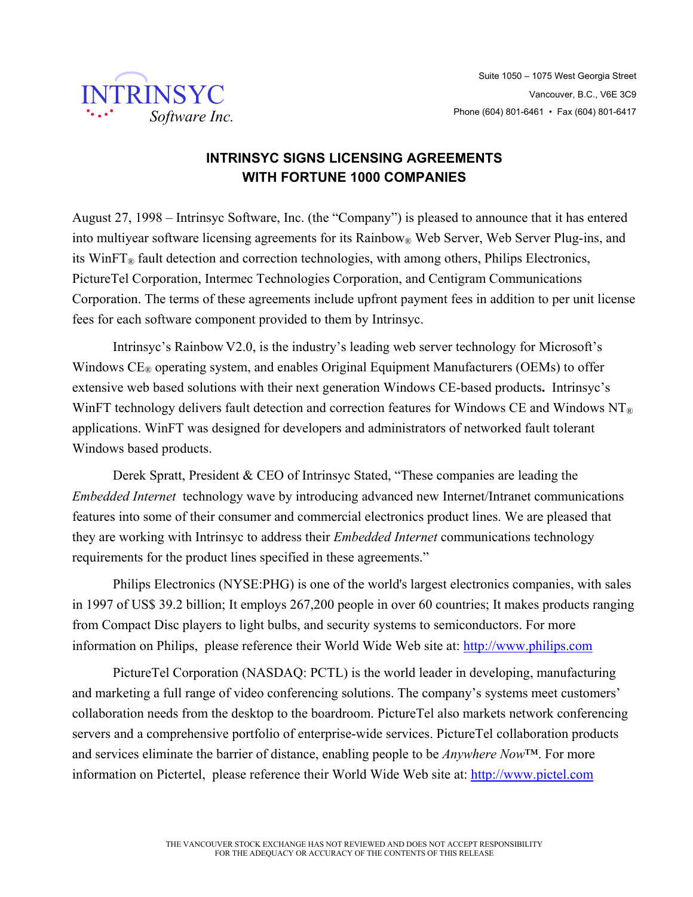

## **INTRINSYC SIGNS LICENSING AGREEMENTS WITH FORTUNE 1000 COMPANIES**

August 27, 1998 – Intrinsyc Software, Inc. (the "Company") is pleased to announce that it has entered into multivear software licensing agreements for its Rainbow<sup>®</sup> Web Server, Web Server Plug-ins, and its WinF $T_{\mathcal{R}}$  fault detection and correction technologies, with among others, Philips Electronics, PictureTel Corporation, Intermec Technologies Corporation, and Centigram Communications Corporation. The terms of these agreements include upfront payment fees in addition to per unit license fees for each software component provided to them by Intrinsyc.

Intrinsyc's Rainbow V2.0, is the industry's leading web server technology for Microsoft's Windows  $CE<sub>®</sub>$  operating system, and enables Original Equipment Manufacturers (OEMs) to offer extensive web based solutions with their next generation Windows CE-based products**.** Intrinsyc's WinFT technology delivers fault detection and correction features for Windows CE and Windows NT<sup>®</sup> applications. WinFT was designed for developers and administrators of networked fault tolerant Windows based products.

Derek Spratt, President & CEO of Intrinsyc Stated, "These companies are leading the *Embedded Internet* technology wave by introducing advanced new Internet/Intranet communications features into some of their consumer and commercial electronics product lines. We are pleased that they are working with Intrinsyc to address their *Embedded Internet* communications technology requirements for the product lines specified in these agreements."

Philips Electronics (NYSE:PHG) is one of the world's largest electronics companies, with sales in 1997 of US\$ 39.2 billion; It employs 267,200 people in over 60 countries; It makes products ranging from Compact Disc players to light bulbs, and security systems to semiconductors. For more information on Philips, please reference their World Wide Web site at: http://www.philips.com

PictureTel Corporation (NASDAQ: PCTL) is the world leader in developing, manufacturing and marketing a full range of video conferencing solutions. The company's systems meet customers' collaboration needs from the desktop to the boardroom. PictureTel also markets network conferencing servers and a comprehensive portfolio of enterprise-wide services. PictureTel collaboration products and services eliminate the barrier of distance, enabling people to be *Anywhere Now*™. For more information on Pictertel, please reference their World Wide Web site at: http://www.pictel.com